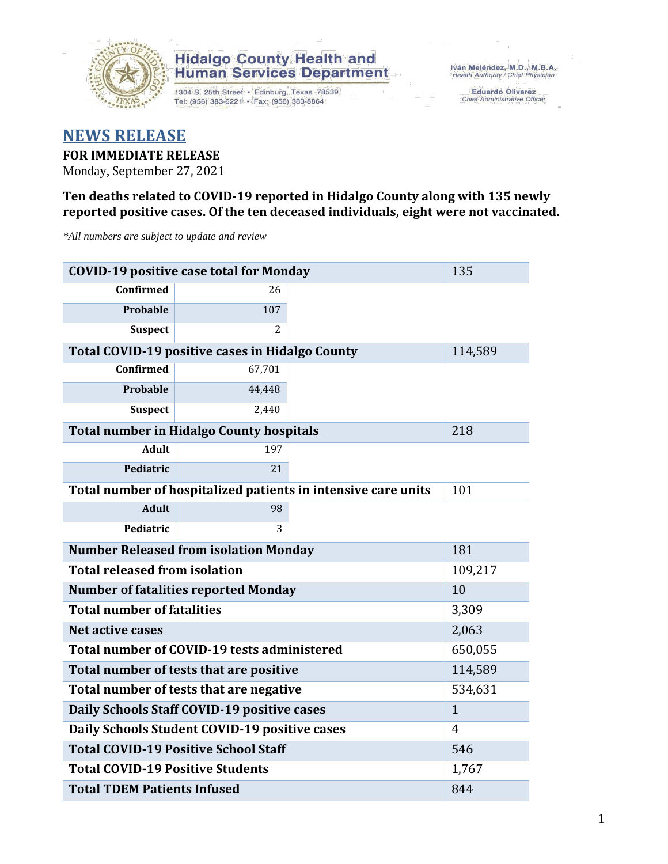

## **Hidalgo County Health and<br>Human Services Department**

1304 S. 25th Street · Edinburg, Texas 78539 Tel: (956) 383-6221 · Fax: (956) 383-8864

Eduardo Olivarez<br>Chief Administrative Officer

## **NEWS RELEASE FOR IMMEDIATE RELEASE**

Monday, September 27, 2021

### **Ten deaths related to COVID-19 reported in Hidalgo County along with 135 newly reported positive cases. Of the ten deceased individuals, eight were not vaccinated.**

*\*All numbers are subject to update and review*

| <b>COVID-19 positive case total for Monday</b>  | 135                                                    |                                                               |         |  |  |
|-------------------------------------------------|--------------------------------------------------------|---------------------------------------------------------------|---------|--|--|
| <b>Confirmed</b>                                | 26                                                     |                                                               |         |  |  |
| Probable                                        | 107                                                    |                                                               |         |  |  |
| <b>Suspect</b>                                  | 2                                                      |                                                               |         |  |  |
|                                                 | <b>Total COVID-19 positive cases in Hidalgo County</b> |                                                               | 114,589 |  |  |
| Confirmed                                       | 67,701                                                 |                                                               |         |  |  |
| Probable                                        | 44,448                                                 |                                                               |         |  |  |
| <b>Suspect</b>                                  | 2,440                                                  |                                                               |         |  |  |
|                                                 | <b>Total number in Hidalgo County hospitals</b>        |                                                               | 218     |  |  |
| <b>Adult</b>                                    | 197                                                    |                                                               |         |  |  |
| Pediatric                                       | 21                                                     |                                                               |         |  |  |
|                                                 |                                                        | Total number of hospitalized patients in intensive care units | 101     |  |  |
| <b>Adult</b>                                    | 98                                                     |                                                               |         |  |  |
| Pediatric                                       | 3                                                      |                                                               |         |  |  |
| <b>Number Released from isolation Monday</b>    | 181                                                    |                                                               |         |  |  |
| <b>Total released from isolation</b><br>109,217 |                                                        |                                                               |         |  |  |
| <b>Number of fatalities reported Monday</b>     | 10                                                     |                                                               |         |  |  |
| <b>Total number of fatalities</b>               | 3,309                                                  |                                                               |         |  |  |
| <b>Net active cases</b>                         | 2,063                                                  |                                                               |         |  |  |
| Total number of COVID-19 tests administered     | 650,055                                                |                                                               |         |  |  |
| Total number of tests that are positive         | 114,589                                                |                                                               |         |  |  |
| Total number of tests that are negative         | 534,631                                                |                                                               |         |  |  |
| Daily Schools Staff COVID-19 positive cases     | $\mathbf{1}$                                           |                                                               |         |  |  |
| Daily Schools Student COVID-19 positive cases   | 4                                                      |                                                               |         |  |  |
| <b>Total COVID-19 Positive School Staff</b>     | 546                                                    |                                                               |         |  |  |
| <b>Total COVID-19 Positive Students</b>         | 1,767                                                  |                                                               |         |  |  |
| <b>Total TDEM Patients Infused</b>              | 844                                                    |                                                               |         |  |  |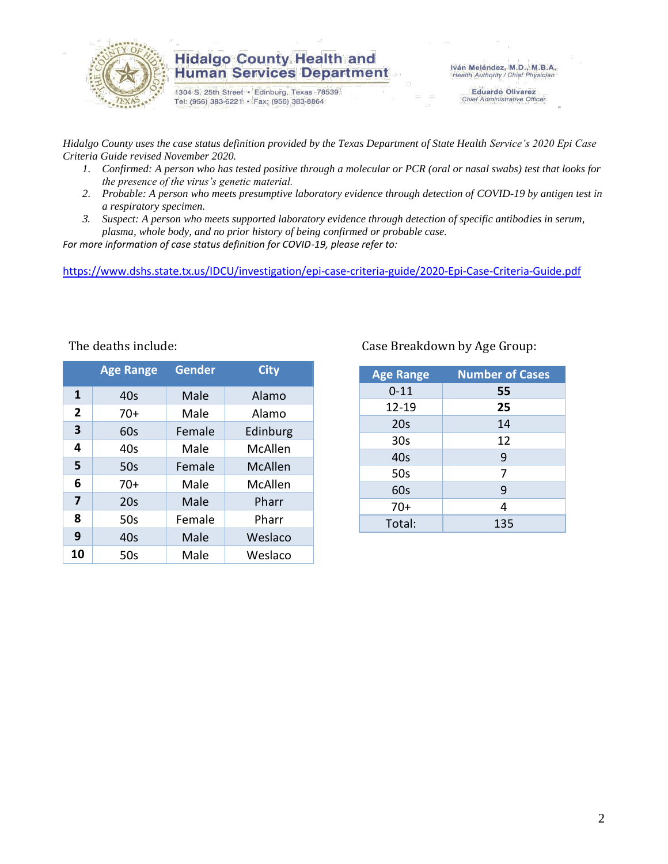

### **Hidalgo County Health and Human Services Department**

1304 S. 25th Street · Edinburg, Texas 78539 Tel: (956) 383-6221 · Fax: (956) 383-8864

Iván Meléndez, M.D., M.B.A. Health Authority / Chief Physician

Eduardo Olivarez<br>Chief Administrative Officer

*Hidalgo County uses the case status definition provided by the Texas Department of State Health Service's 2020 Epi Case Criteria Guide revised November 2020.*

- *1. Confirmed: A person who has tested positive through a molecular or PCR (oral or nasal swabs) test that looks for the presence of the virus's genetic material.*
- *2. Probable: A person who meets presumptive laboratory evidence through detection of COVID-19 by antigen test in a respiratory specimen.*
- *3. Suspect: A person who meets supported laboratory evidence through detection of specific antibodies in serum, plasma, whole body, and no prior history of being confirmed or probable case.*

*For more information of case status definition for COVID-19, please refer to:*

<https://www.dshs.state.tx.us/IDCU/investigation/epi-case-criteria-guide/2020-Epi-Case-Criteria-Guide.pdf>

|                | <b>Age Range</b> | <b>Gender</b> | <b>City</b>    |
|----------------|------------------|---------------|----------------|
| 1              | 40s              | Male          | Alamo          |
| $\overline{2}$ | $70+$            | Male          | Alamo          |
| 3              | 60s              | Female        | Edinburg       |
| 4              | 40s              | Male          | McAllen        |
| 5              | 50s              | Female        | <b>McAllen</b> |
| 6              | $70+$            | Male          | McAllen        |
| 7              | 20s              | Male          | Pharr          |
| 8              | 50s              | Female        | Pharr          |
| 9              | 40s              | Male          | Weslaco        |
| 10             | 50s              | Male          | Weslaco        |

### The deaths include: Case Breakdown by Age Group:

| <b>Age Range</b> | <b>Number of Cases</b> |
|------------------|------------------------|
| $0 - 11$         | 55                     |
| 12-19            | 25                     |
| 20s              | 14                     |
| 30 <sub>s</sub>  | 12                     |
| 40s              | 9                      |
| 50s              | 7                      |
| 60s              | 9                      |
| $70+$            | 4                      |
| Total:           | 135                    |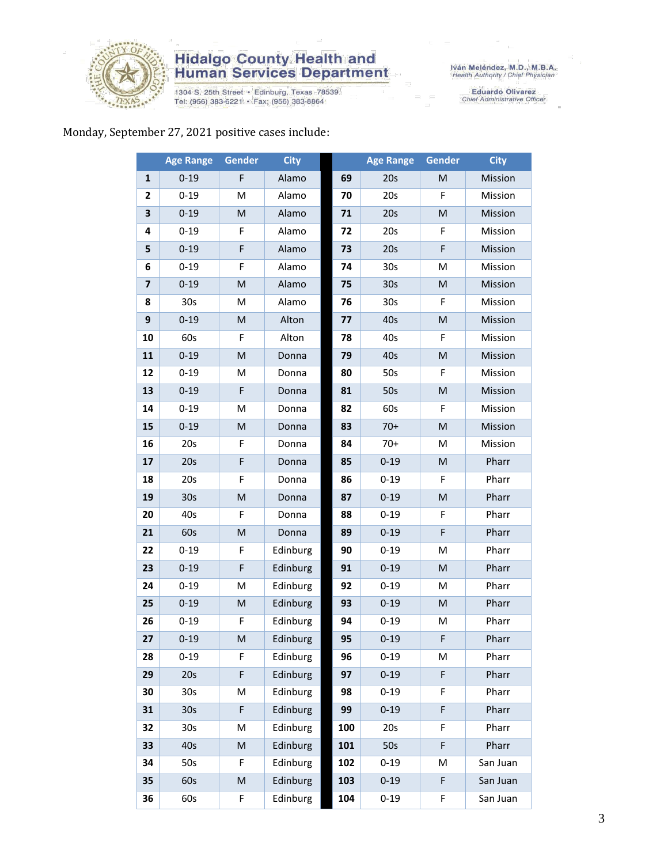

# **Hidalgo County Health and<br>Human Services Department**

1304 S. 25th Street • Edinburg, Texas 78539<br>Tel: (956) 383-6221 • Fax: (956) 383-8864

Eduardo Olivarez<br>Chief Administrative Officer

### Monday, September 27, 2021 positive cases include:

|                         | <b>Age Range</b> | Gender                                                                                                     | <b>City</b> |     | <b>Age Range</b> | Gender                                                                                                     | <b>City</b> |
|-------------------------|------------------|------------------------------------------------------------------------------------------------------------|-------------|-----|------------------|------------------------------------------------------------------------------------------------------------|-------------|
| 1                       | $0 - 19$         | F                                                                                                          | Alamo       | 69  | 20s              | M                                                                                                          | Mission     |
| $\mathbf{2}$            | $0 - 19$         | M                                                                                                          | Alamo       | 70  | 20s              | F                                                                                                          | Mission     |
| 3                       | $0 - 19$         | M                                                                                                          | Alamo       | 71  | 20s              | M                                                                                                          | Mission     |
| 4                       | $0 - 19$         | F                                                                                                          | Alamo       | 72  | 20s              | F                                                                                                          | Mission     |
| 5                       | $0 - 19$         | F                                                                                                          | Alamo       | 73  | 20s              | F                                                                                                          | Mission     |
| 6                       | $0 - 19$         | F                                                                                                          | Alamo       | 74  | 30 <sub>s</sub>  | M                                                                                                          | Mission     |
| $\overline{\mathbf{z}}$ | $0 - 19$         | M                                                                                                          | Alamo       | 75  | 30 <sub>s</sub>  | M                                                                                                          | Mission     |
| 8                       | 30s              | M                                                                                                          | Alamo       | 76  | 30 <sub>s</sub>  | F                                                                                                          | Mission     |
| $\boldsymbol{9}$        | $0 - 19$         | ${\sf M}$                                                                                                  | Alton       | 77  | 40s              | $\mathsf{M}% _{T}=\mathsf{M}_{T}\!\left( a,b\right) ,\ \mathsf{M}_{T}=\mathsf{M}_{T}\!\left( a,b\right) ,$ | Mission     |
| 10                      | 60s              | F                                                                                                          | Alton       | 78  | 40s              | F                                                                                                          | Mission     |
| 11                      | $0 - 19$         | ${\sf M}$                                                                                                  | Donna       | 79  | 40s              | $\mathsf{M}% _{T}=\mathsf{M}_{T}\!\left( a,b\right) ,\ \mathsf{M}_{T}=\mathsf{M}_{T}\!\left( a,b\right) ,$ | Mission     |
| 12                      | $0 - 19$         | M                                                                                                          | Donna       | 80  | 50s              | F                                                                                                          | Mission     |
| 13                      | $0 - 19$         | F                                                                                                          | Donna       | 81  | 50s              | M                                                                                                          | Mission     |
| 14                      | $0 - 19$         | M                                                                                                          | Donna       | 82  | 60s              | F                                                                                                          | Mission     |
| 15                      | $0 - 19$         | M                                                                                                          | Donna       | 83  | $70+$            | M                                                                                                          | Mission     |
| 16                      | 20s              | F                                                                                                          | Donna       | 84  | $70+$            | M                                                                                                          | Mission     |
| 17                      | 20s              | F                                                                                                          | Donna       | 85  | $0 - 19$         | M                                                                                                          | Pharr       |
| 18                      | 20s              | F                                                                                                          | Donna       | 86  | $0 - 19$         | F                                                                                                          | Pharr       |
| 19                      | 30 <sub>s</sub>  | ${\sf M}$                                                                                                  | Donna       | 87  | $0 - 19$         | $\mathsf{M}% _{T}=\mathsf{M}_{T}\!\left( a,b\right) ,\ \mathsf{M}_{T}=\mathsf{M}_{T}\!\left( a,b\right) ,$ | Pharr       |
| 20                      | 40s              | F                                                                                                          | Donna       | 88  | $0 - 19$         | F                                                                                                          | Pharr       |
| 21                      | 60s              | $\mathsf{M}% _{T}=\mathsf{M}_{T}\!\left( a,b\right) ,\ \mathsf{M}_{T}=\mathsf{M}_{T}\!\left( a,b\right) ,$ | Donna       | 89  | $0 - 19$         | F                                                                                                          | Pharr       |
| 22                      | $0 - 19$         | F.                                                                                                         | Edinburg    | 90  | $0 - 19$         | M                                                                                                          | Pharr       |
| 23                      | $0 - 19$         | F                                                                                                          | Edinburg    | 91  | $0 - 19$         | $\mathsf{M}% _{T}=\mathsf{M}_{T}\!\left( a,b\right) ,\ \mathsf{M}_{T}=\mathsf{M}_{T}\!\left( a,b\right) ,$ | Pharr       |
| 24                      | $0 - 19$         | M                                                                                                          | Edinburg    | 92  | $0 - 19$         | M                                                                                                          | Pharr       |
| 25                      | $0 - 19$         | ${\sf M}$                                                                                                  | Edinburg    | 93  | $0 - 19$         | $\mathsf{M}% _{T}=\mathsf{M}_{T}\!\left( a,b\right) ,\ \mathsf{M}_{T}=\mathsf{M}_{T}\!\left( a,b\right) ,$ | Pharr       |
| 26                      | $0 - 19$         | F                                                                                                          | Edinburg    | 94  | $0 - 19$         | M                                                                                                          | Pharr       |
| 27                      | $0 - 19$         | M                                                                                                          | Edinburg    | 95  | $0 - 19$         | F                                                                                                          | Pharr       |
| 28                      | $0 - 19$         | F                                                                                                          | Edinburg    | 96  | $0 - 19$         | M                                                                                                          | Pharr       |
| 29                      | 20s              | F                                                                                                          | Edinburg    | 97  | $0 - 19$         | F                                                                                                          | Pharr       |
| 30                      | 30 <sub>s</sub>  | M                                                                                                          | Edinburg    | 98  | $0 - 19$         | F                                                                                                          | Pharr       |
| 31                      | 30 <sub>s</sub>  | F                                                                                                          | Edinburg    | 99  | $0 - 19$         | F                                                                                                          | Pharr       |
| 32                      | 30s              | M                                                                                                          | Edinburg    | 100 | 20s              | F                                                                                                          | Pharr       |
| 33                      | 40s              | M                                                                                                          | Edinburg    | 101 | 50s              | F                                                                                                          | Pharr       |
| 34                      | 50s              | F                                                                                                          | Edinburg    | 102 | $0 - 19$         | M                                                                                                          | San Juan    |
| 35                      | 60s              | M                                                                                                          | Edinburg    | 103 | $0 - 19$         | F                                                                                                          | San Juan    |
| 36                      | 60s              | F                                                                                                          | Edinburg    | 104 | $0 - 19$         | F                                                                                                          | San Juan    |